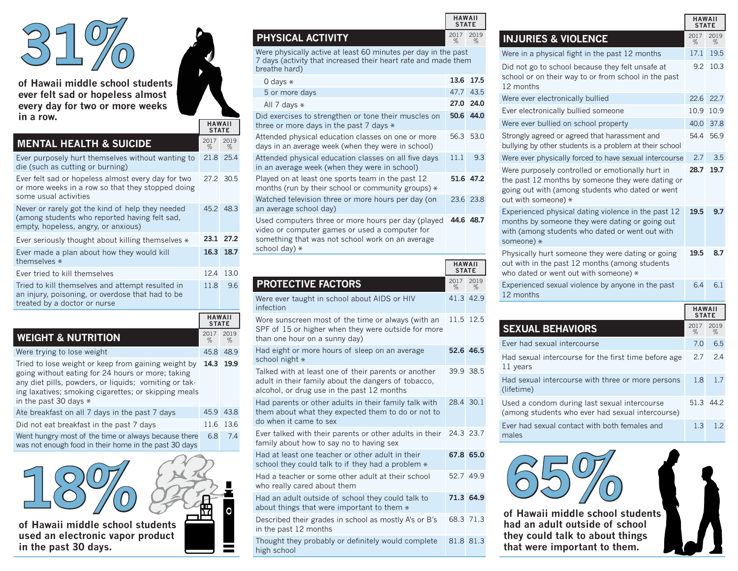

**of Hawaii middle school students ever felt sad or hopeless almost every day for two or more weeks in a row.**

## **MENTAL HEALTH & SUICIDE**

| Ever purposely hurt themselves without wanting to<br>die (such as cutting or burning)                                                    | 21.8 25.4 |           |
|------------------------------------------------------------------------------------------------------------------------------------------|-----------|-----------|
| Ever felt sad or hopeless almost every day for two<br>or more weeks in a row so that they stopped doing<br>some usual activities         | 27.2 30.5 |           |
| Never or rarely got the kind of help they needed<br>(among students who reported having felt sad,<br>empty, hopeless, angry, or anxious) | 45.2 48.3 |           |
| Ever seriously thought about killing themselves *                                                                                        |           | 23.1 27.2 |
| Ever made a plan about how they would kill<br>themselves *                                                                               |           | 16.3 18.7 |
| Ever tried to kill themselves                                                                                                            | 12.4      | 13.0      |
| Tried to kill themselves and attempt resulted in<br>an injury, poisoning, or overdose that had to be<br>treated by a doctor or nurse     | 118       | 96        |

|                                                                                                                                                                                                                                                      | <b>HAWAII</b><br><b>STATE</b> |           |
|------------------------------------------------------------------------------------------------------------------------------------------------------------------------------------------------------------------------------------------------------|-------------------------------|-----------|
| <b>WEIGHT &amp; NUTRITION</b>                                                                                                                                                                                                                        | 2017<br>%                     | 2019<br>% |
| Were trying to lose weight                                                                                                                                                                                                                           | 45.8                          | 48.9      |
| Tried to lose weight or keep from gaining weight by<br>going without eating for 24 hours or more; taking<br>any diet pills, powders, or liquids; vomiting or tak-<br>ing laxatives; smoking cigarettes; or skipping meals<br>in the past 30 days $*$ |                               | 14.3 19.9 |
| Ate breakfast on all 7 days in the past 7 days                                                                                                                                                                                                       | 45.9                          | 43.8      |
| Did not eat breakfast in the past 7 days                                                                                                                                                                                                             | 11.6                          | 13.6      |
| Went hungry most of the time or always because there<br>was not enough food in their home in the past 30 days                                                                                                                                        | 6.8                           | 74        |



| <b>PHYSICAL ACTIVITY</b> |  |
|--------------------------|--|
|                          |  |

**HAWAII STATE**

% 2019 %

Were physically active at least 60 minutes per day in the past 7 days (activity that increased their heart rate and made them breathe hard)

**HAWAII STATE**

% 2017 2019  $%$ 

| 0 days $*$                                                                                                                                                                |     | 13.6 17.5 |
|---------------------------------------------------------------------------------------------------------------------------------------------------------------------------|-----|-----------|
| 5 or more days                                                                                                                                                            |     | 47.7 43.5 |
| All 7 days $*$                                                                                                                                                            |     | 27.0 24.0 |
| Did exercises to strengthen or tone their muscles on<br>three or more days in the past $7$ days $*$                                                                       |     | 50.6 44.0 |
| Attended physical education classes on one or more<br>days in an average week (when they were in school)                                                                  |     | 56.3 53.0 |
| Attended physical education classes on all five days<br>in an average week (when they were in school)                                                                     | 111 | 9.3       |
| Played on at least one sports team in the past 12<br>months (run by their school or community groups) $*$                                                                 |     | 51.6 47.2 |
| Watched television three or more hours per day (on<br>an average school day)                                                                                              |     | 23.6 23.8 |
| Used computers three or more hours per day (played<br>video or computer games or used a computer for<br>something that was not school work on an average<br>school day) * |     | 44.6 48.7 |

|                                                                                                                                                           | <b>HAWAII</b><br><b>STATE</b> |           |
|-----------------------------------------------------------------------------------------------------------------------------------------------------------|-------------------------------|-----------|
| <b>PROTECTIVE FACTORS</b>                                                                                                                                 | 2017<br>%                     | 2019<br>% |
| Were ever taught in school about AIDS or HIV<br>infection                                                                                                 |                               | 41.3 42.9 |
| Wore sunscreen most of the time or always (with an<br>SPF of 15 or higher when they were outside for more<br>than one hour on a sunny day)                |                               | 11.5 12.5 |
| Had eight or more hours of sleep on an average<br>school night *                                                                                          |                               | 52.6 46.5 |
| Talked with at least one of their parents or another<br>adult in their family about the dangers of tobacco,<br>alcohol, or drug use in the past 12 months |                               | 39.9 38.5 |
| Had parents or other adults in their family talk with<br>them about what they expected them to do or not to<br>do when it came to sex                     |                               | 28.4 30.1 |
| Ever talked with their parents or other adults in their<br>family about how to say no to having sex                                                       |                               | 24.3 23.7 |
| Had at least one teacher or other adult in their<br>school they could talk to if they had a problem *                                                     |                               | 67.8 65.0 |
| Had a teacher or some other adult at their school<br>who really cared about them                                                                          |                               | 52.7 49.9 |
| Had an adult outside of school they could talk to<br>about things that were important to them *                                                           |                               | 71.3 64.9 |
| Described their grades in school as mostly A's or B's<br>in the past 12 months                                                                            |                               | 68.3 71.3 |
| Thought they probably or definitely would complete<br>high school                                                                                         |                               | 81.8 81.3 |

|                                                                                                                                                                                  | <b>HAWAII</b><br><b>STATE</b> |           |
|----------------------------------------------------------------------------------------------------------------------------------------------------------------------------------|-------------------------------|-----------|
| <b>INJURIES &amp; VIOLENCE</b>                                                                                                                                                   | 2017<br>%                     | 2019<br>% |
| Were in a physical fight in the past 12 months                                                                                                                                   | 17.1                          | 19.5      |
| Did not go to school because they felt unsafe at<br>school or on their way to or from school in the past<br>12 months                                                            | 9.2                           | 10.3      |
| Were ever electronically bullied                                                                                                                                                 | 22.6                          | 22.7      |
| Ever electronically bullied someone                                                                                                                                              | 10.9                          | 10.9      |
| Were ever bullied on school property                                                                                                                                             | 40.0                          | 37.8      |
| Strongly agreed or agreed that harassment and<br>bullying by other students is a problem at their school                                                                         | 54.4                          | 56.9      |
| Were ever physically forced to have sexual intercourse                                                                                                                           | 2.7                           | 3.5       |
| Were purposely controlled or emotionally hurt in<br>the past 12 months by someone they were dating or<br>going out with (among students who dated or went<br>out with someone) * | 28.7                          | 19.7      |
| Experienced physical dating violence in the past 12<br>months by someone they were dating or going out<br>with (among students who dated or went out with<br>someone) *          | 19.5                          | 9.7       |
| Physically hurt someone they were dating or going<br>out with in the past 12 months (among students<br>who dated or went out with someone) *                                     | 19.5                          | 8.7       |
| Experienced sexual violence by anyone in the past<br>12 months                                                                                                                   | 6.4                           | 6.1       |
|                                                                                                                                                                                  | <b>HAWAII</b><br><b>STATE</b> |           |
| <b>SEXUAL BEHAVIORS</b>                                                                                                                                                          | 2017<br>%                     | 2019<br>% |
| Ever had sexual intercourse                                                                                                                                                      | 7.0                           | 6.5       |
| Had sexual intercourse for the first time before age<br>11 years                                                                                                                 | 2.7                           | 2.4       |
| Had sexual intercourse with three or more persons<br>(lifetime)                                                                                                                  | 1.8                           | 1.7       |
| Used a condom during last sexual intercourse<br>(among students who ever had sexual intercourse)                                                                                 |                               | 51.3 44.2 |
| Ever had sexual contact with both females and<br>males                                                                                                                           | 1.3                           | 1.2       |

| of Hawaii middle school students<br>had an adult outside of school<br>they could talk to about things<br>that were important to them. |  |
|---------------------------------------------------------------------------------------------------------------------------------------|--|